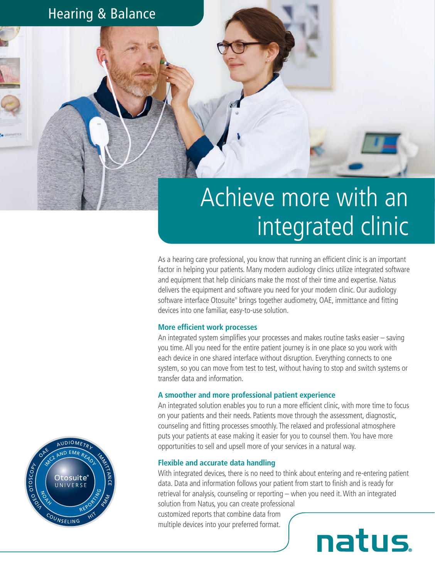### Hearing & Balance

# Achieve more with an integrated clinic

As a hearing care professional, you know that running an efficient clinic is an important factor in helping your patients. Many modern audiology clinics utilize integrated software and equipment that help clinicians make the most of their time and expertise. Natus delivers the equipment and software you need for your modern clinic. Our audiology software interface Otosuite® brings together audiometry, OAE, immittance and fitting devices into one familiar, easy-to-use solution.

#### **More efficient work processes**

An integrated system simplifies your processes and makes routine tasks easier – saving you time. All you need for the entire patient journey is in one place so you work with each device in one shared interface without disruption. Everything connects to one system, so you can move from test to test, without having to stop and switch systems or transfer data and information.

#### **A smoother and more professional patient experience**

An integrated solution enables you to run a more efficient clinic, with more time to focus on your patients and their needs. Patients move through the assessment, diagnostic, counseling and fitting processes smoothly. The relaxed and professional atmosphere puts your patients at ease making it easier for you to counsel them. You have more opportunities to sell and upsell more of your services in a natural way.

#### **Flexible and accurate data handling**

With integrated devices, there is no need to think about entering and re-entering patient data. Data and information follows your patient from start to finish and is ready for retrieval for analysis, counseling or reporting – when you need it. With an integrated solution from Natus, you can create professional

customized reports that combine data from multiple devices into your preferred format.